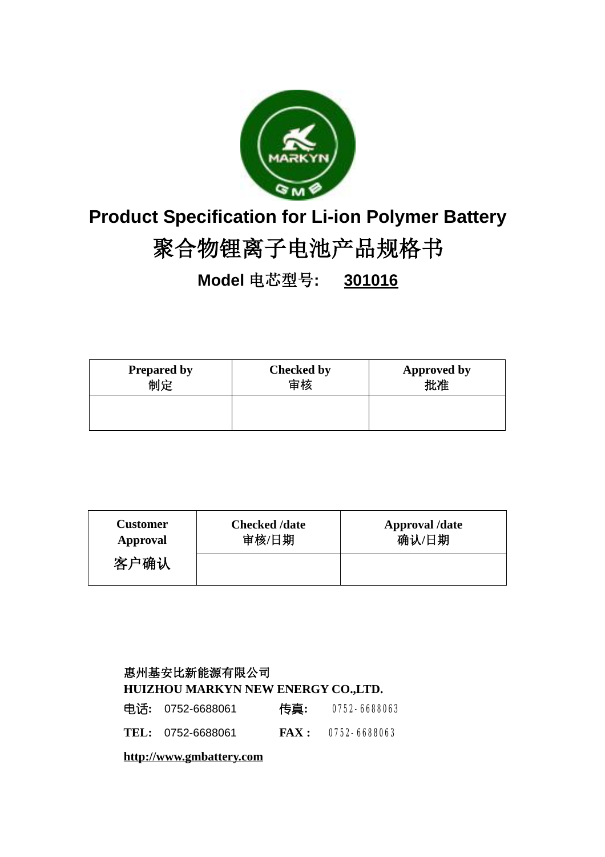

# **Product Specification for Li-ion Polymer Battery**

# **聚合物锂离子电池产品规格书**

**Model 电芯型号: 301016**

| <b>Prepared by</b> | <b>Checked by</b> | <b>Approved by</b> |
|--------------------|-------------------|--------------------|
| 制定                 | 宙核                | 「牝准                |
|                    |                   |                    |

| <b>Customer</b> | <b>Checked /date</b> | <b>Approval</b> /date |
|-----------------|----------------------|-----------------------|
| Approval        | 审核/日期                | 确认/日期                 |
| 客户确认            |                      |                       |

## **惠州基安比新能源有限公司 HUIZHOU MARKYN NEW ENERGY CO.,LTD.**

| 电话: 0752-6688061  | 传真: 0752-6688063      |
|-------------------|-----------------------|
| TEL: 0752-6688061 | $FAX: 0752 - 6688063$ |

**<http://www.gmbattery.com>**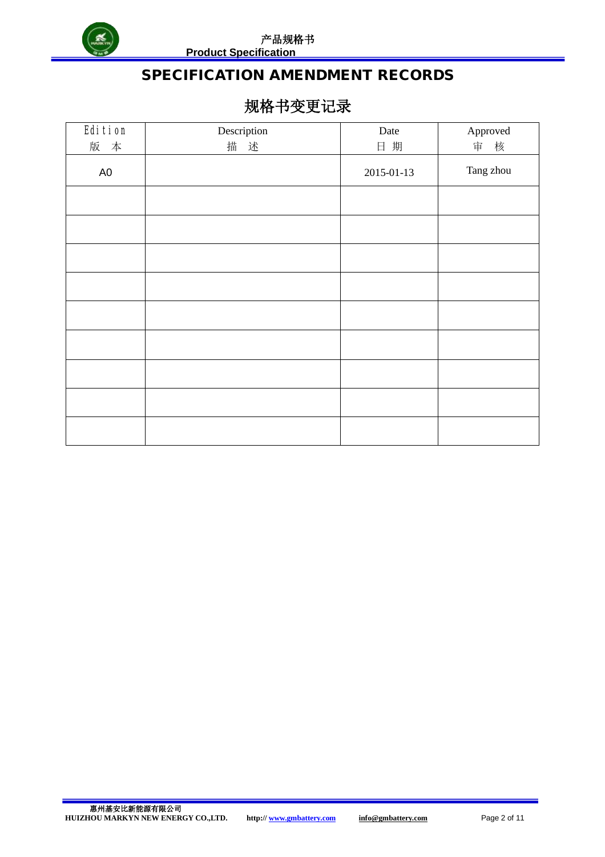

**Product Specification** 

# **SPECIFICATION AMENDMENT RECORDS**

# **规格书变更记录**

| Edition       | Description | Date       | Approved  |
|---------------|-------------|------------|-----------|
| 版 本           | 述<br>描      | 日期         | 审 核       |
| $\mathsf{A}0$ |             | 2015-01-13 | Tang zhou |
|               |             |            |           |
|               |             |            |           |
|               |             |            |           |
|               |             |            |           |
|               |             |            |           |
|               |             |            |           |
|               |             |            |           |
|               |             |            |           |
|               |             |            |           |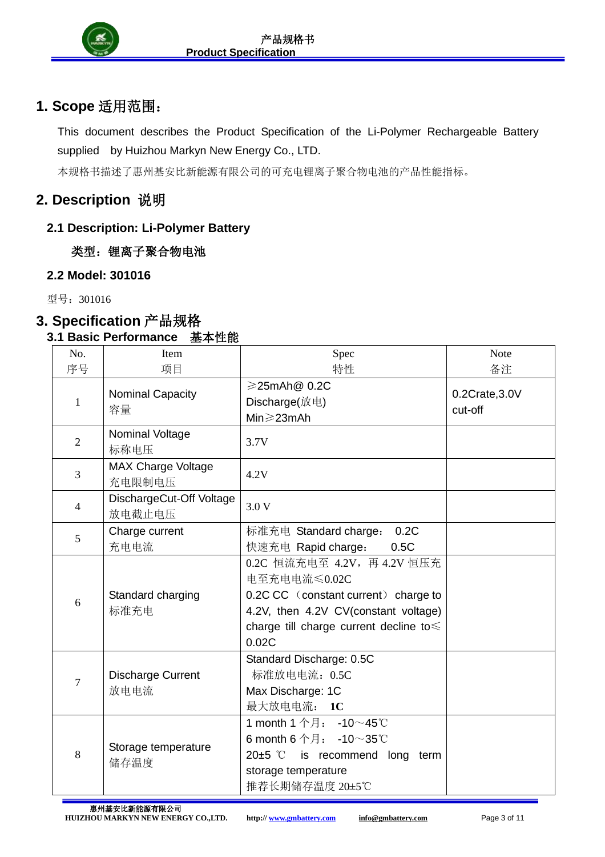

# **1. Scope 适用范围:**

This document describes the Product Specification of the Li-Polymer Rechargeable Battery supplied by Huizhou Markyn New Energy Co., LTD.

本规格书描述了惠州基安比新能源有限公司的可充电锂离子聚合物电池的产品性能指标。

## **2. Description 说明**

## **2.1 Description: Li-Polymer Battery**

 **类型:锂离子聚合物电池**

## **2.2 Model: 301016**

型号:301016

# **3. Specification 产品规格**

## **3.1 Basic Performance 基本性能**

| No.            | Item                                | Spec                                                                                                                                                                          | <b>Note</b>               |
|----------------|-------------------------------------|-------------------------------------------------------------------------------------------------------------------------------------------------------------------------------|---------------------------|
| 序号             | 项目                                  | 特性                                                                                                                                                                            | 备注                        |
| 1              | Nominal Capacity<br>容量              | ≥25mAh@ 0.2C<br>Discharge(放电)<br>Min≥23mAh                                                                                                                                    | 0.2Crate, 3.0V<br>cut-off |
| $\overline{2}$ | Nominal Voltage<br>标称电压             | 3.7V                                                                                                                                                                          |                           |
| 3              | <b>MAX Charge Voltage</b><br>充电限制电压 | 4.2V                                                                                                                                                                          |                           |
| $\overline{4}$ | DischargeCut-Off Voltage<br>放电截止电压  | 3.0V                                                                                                                                                                          |                           |
| 5              | Charge current<br>充电电流              | 0.2C<br>标准充电 Standard charge:<br>快速充电 Rapid charge:<br>0.5C                                                                                                                   |                           |
| 6              | Standard charging<br>标准充电           | 0.2C 恒流充电至 4.2V, 再 4.2V 恒压充<br>电至充电电流≤0.02C<br>0.2C CC (constant current) charge to<br>4.2V, then 4.2V CV(constant voltage)<br>charge till charge current decline to<br>0.02C |                           |
| 7              | <b>Discharge Current</b><br>放电电流    | Standard Discharge: 0.5C<br>标准放电电流: 0.5C<br>Max Discharge: 1C<br>最大放电电流: 1C                                                                                                   |                           |
| 8              | Storage temperature<br>储存温度         | 1 month 1 个月: -10~45℃<br>6 month 6 个月: -10~35℃<br>20 $±5$ $°C$<br>is recommend long<br>term<br>storage temperature<br>推荐长期储存温度 20±5℃                                          |                           |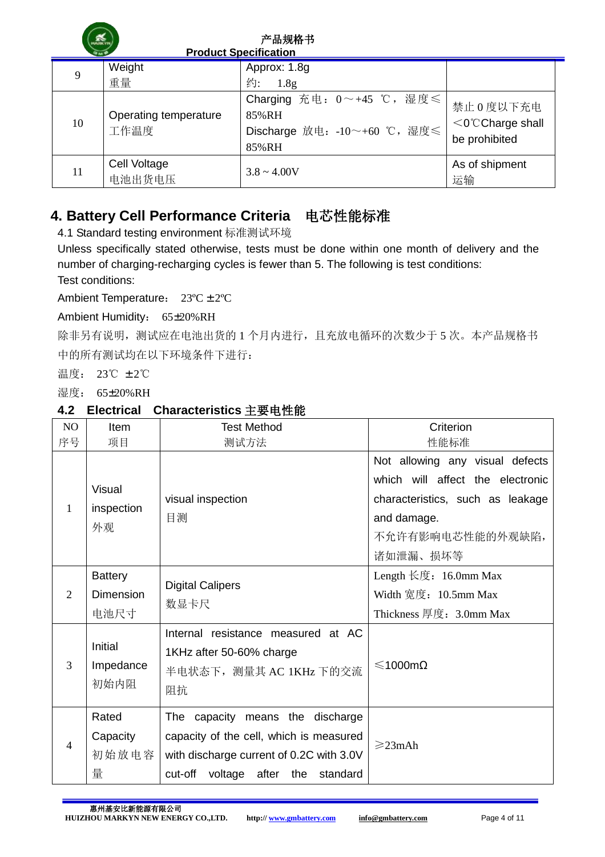|    |                               | 产品规格书<br><b>Product Specification</b>                                               |                                                    |
|----|-------------------------------|-------------------------------------------------------------------------------------|----------------------------------------------------|
| 9  | Weight                        | Approx: 1.8g                                                                        |                                                    |
|    | 重量                            | 约:<br>1.8g                                                                          |                                                    |
| 10 | Operating temperature<br>工作温度 | Charging 充电: $0 \sim +45$ ℃, 湿度 ≤<br>85%RH<br>Discharge 放电: -10~+60 ℃, 湿度≤<br>85%RH | 禁止 0 度以下充电<br>$<$ 0°CCharge shall<br>be prohibited |
| 11 | Cell Voltage<br>电池出货电压        | $3.8 \sim 4.00V$                                                                    | As of shipment<br>运输                               |

## **4. Battery Cell Performance Criteria 电芯性能标准**

4.1 Standard testing environment 标准测试环境

Unless specifically stated otherwise, tests must be done within one month of delivery and the number of charging-recharging cycles is fewer than 5. The following is test conditions:

Test conditions:

Ambient Temperature: 23ºC ± 2ºC

Ambient Humidity: 65±20%RH

除非另有说明,测试应在电池出货的 1 个月内进行,且充放电循环的次数少于 5 次。本产品规格书 中的所有测试均在以下环境条件下进行:

温度: 23℃ ± 2℃

湿度: 65±20%RH

## **4.2 Electrical Characteristics 主要电性能**

| N <sub>O</sub> | <b>Item</b>                         | <b>Test Method</b>                                                                                                                                            | Criterion                                                                                                                                              |
|----------------|-------------------------------------|---------------------------------------------------------------------------------------------------------------------------------------------------------------|--------------------------------------------------------------------------------------------------------------------------------------------------------|
| 序号             | 项目                                  | 测试方法                                                                                                                                                          | 性能标准                                                                                                                                                   |
| 1              | Visual<br>inspection<br>外观          | visual inspection<br>目测                                                                                                                                       | Not allowing any visual defects<br>which will affect the electronic<br>characteristics, such as leakage<br>and damage.<br>不允许有影响电芯性能的外观缺陷,<br>诸如泄漏、损坏等 |
| 2              | <b>Battery</b><br>Dimension<br>电池尺寸 | <b>Digital Calipers</b><br>数显卡尺                                                                                                                               | Length 长度: 16.0mm Max<br>Width 宽度: 10.5mm Max<br>Thickness 厚度: 3.0mm Max                                                                               |
| 3              | <b>Initial</b><br>Impedance<br>初始内阻 | Internal resistance measured at AC<br>1KHz after 50-60% charge<br>半电状态下, 测量其 AC 1KHz 下的交流<br>阻抗                                                               | ≤1000mΩ                                                                                                                                                |
| $\overline{4}$ | Rated<br>Capacity<br>初始放电容<br>量     | The capacity means the discharge<br>capacity of the cell, which is measured<br>with discharge current of 0.2C with 3.0V<br>cut-off voltage after the standard | $\geq$ 23mAh                                                                                                                                           |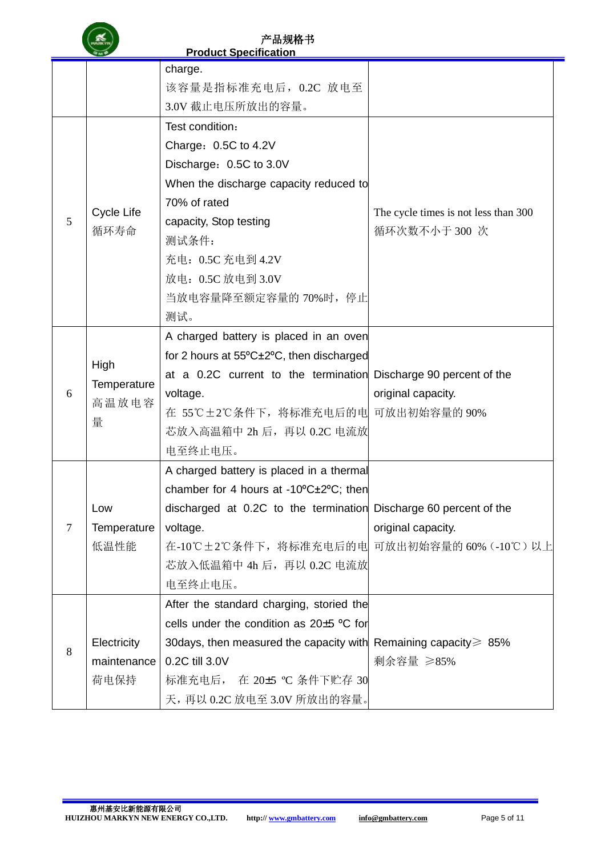|                |                                   | <b>Product Specification</b>                                            |                                      |
|----------------|-----------------------------------|-------------------------------------------------------------------------|--------------------------------------|
|                |                                   | charge.                                                                 |                                      |
|                |                                   | 该容量是指标准充电后, 0.2C 放电至                                                    |                                      |
|                |                                   | 3.0V 截止电压所放出的容量。                                                        |                                      |
|                |                                   | Test condition:                                                         |                                      |
|                |                                   | Charge: 0.5C to 4.2V                                                    |                                      |
|                |                                   | Discharge: 0.5C to 3.0V                                                 |                                      |
|                |                                   | When the discharge capacity reduced to                                  |                                      |
|                |                                   | 70% of rated                                                            |                                      |
| 5              | Cycle Life                        | capacity, Stop testing                                                  | The cycle times is not less than 300 |
|                | 循环寿命                              | 测试条件:                                                                   | 循环次数不小于300次                          |
|                |                                   | 充电: 0.5C 充电到 4.2V                                                       |                                      |
|                |                                   | 放电: 0.5C 放电到 3.0V                                                       |                                      |
|                |                                   | 当放电容量降至额定容量的 70%时, 停止                                                   |                                      |
|                |                                   | 测试。                                                                     |                                      |
|                |                                   | A charged battery is placed in an oven                                  |                                      |
|                | High<br>Temperature<br>高温放电容<br>量 | for 2 hours at 55°C±2°C, then discharged                                |                                      |
|                |                                   | at a 0.2C current to the termination Discharge 90 percent of the        |                                      |
| 6              |                                   | voltage.                                                                | original capacity.                   |
|                |                                   | 在 55℃±2℃条件下, 将标准充电后的电 可放出初始容量的 90%                                      |                                      |
|                |                                   | 芯放入高温箱中 2h 后, 再以 0.2C 电流放                                               |                                      |
|                |                                   | 电至终止电压。                                                                 |                                      |
|                |                                   | A charged battery is placed in a thermal                                |                                      |
|                |                                   | chamber for 4 hours at -10°C±2°C; then                                  |                                      |
|                | Low                               | discharged at 0.2C to the termination Discharge 60 percent of the       |                                      |
| $\overline{7}$ | Temperature                       | voltage.                                                                | original capacity.                   |
|                | 低温性能                              | 在-10℃±2℃条件下, 将标准充电后的电 可放出初始容量的 60% (-10℃) 以上                            |                                      |
|                |                                   | 芯放入低温箱中 4h 后, 再以 0.2C 电流放                                               |                                      |
|                |                                   | 电至终止电压。                                                                 |                                      |
|                |                                   | After the standard charging, storied the                                |                                      |
|                |                                   | cells under the condition as $20\pm5$ °C for                            |                                      |
| 8              | Electricity                       | 30 days, then measured the capacity with Remaining capacity $\geq 85\%$ |                                      |
|                | maintenance                       | 0.2C till 3.0V                                                          | 剩余容量 ≥85%                            |
|                | 荷电保持                              | 标准充电后, 在 20±5 ℃ 条件下贮存 30                                                |                                      |
|                |                                   | 天, 再以 0.2C 放电至 3.0V 所放出的容量。                                             |                                      |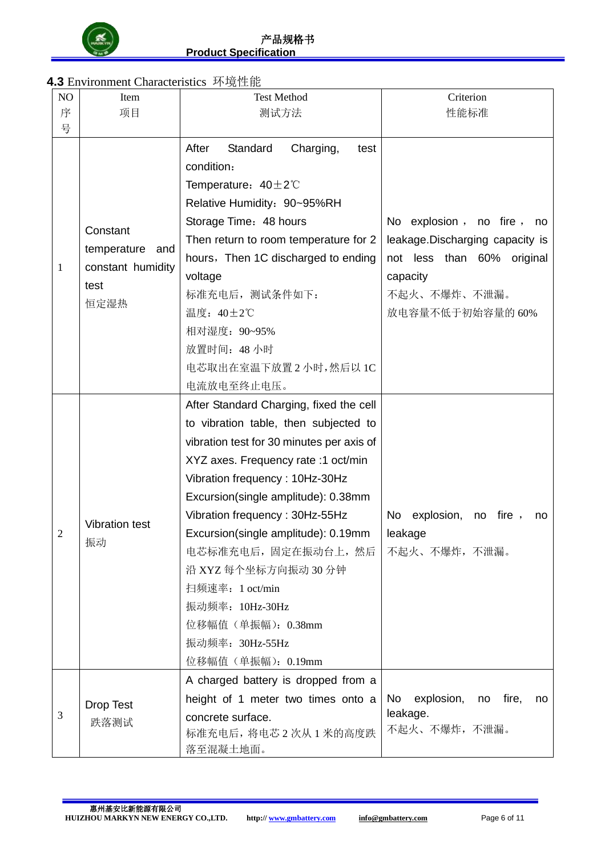

## **4.3** Environment Characteristics 环境性能

| NO | Item                                                                | <b>Test Method</b>                                                                                                                                                                                                                                                                                                                                                                                                                                                                        | Criterion                                                                                                                                  |
|----|---------------------------------------------------------------------|-------------------------------------------------------------------------------------------------------------------------------------------------------------------------------------------------------------------------------------------------------------------------------------------------------------------------------------------------------------------------------------------------------------------------------------------------------------------------------------------|--------------------------------------------------------------------------------------------------------------------------------------------|
| 序  | 项目                                                                  | 测试方法                                                                                                                                                                                                                                                                                                                                                                                                                                                                                      | 性能标准                                                                                                                                       |
| 号  |                                                                     |                                                                                                                                                                                                                                                                                                                                                                                                                                                                                           |                                                                                                                                            |
| 1  | Constant<br>temperature<br>and<br>constant humidity<br>test<br>恒定湿热 | After<br>Standard<br>Charging,<br>test<br>condition:<br>Temperature: $40\pm2\degree$<br>Relative Humidity: 90~95%RH<br>Storage Time: 48 hours<br>Then return to room temperature for 2<br>hours, Then 1C discharged to ending<br>voltage<br>标准充电后, 测试条件如下:<br>温度: 40±2℃<br>相对湿度: 90~95%<br>放置时间: 48小时<br>电芯取出在室温下放置2小时,然后以1C                                                                                                                                                              | No explosion, no fire, no<br>leakage. Discharging capacity is<br>not less than 60% original<br>capacity<br>不起火、不爆炸、不泄漏。<br>放电容量不低于初始容量的60% |
| 2  | <b>Vibration test</b><br>振动                                         | 电流放电至终止电压。<br>After Standard Charging, fixed the cell<br>to vibration table, then subjected to<br>vibration test for 30 minutes per axis of<br>XYZ axes. Frequency rate :1 oct/min<br>Vibration frequency: 10Hz-30Hz<br>Excursion(single amplitude): 0.38mm<br>Vibration frequency: 30Hz-55Hz<br>Excursion(single amplitude): 0.19mm<br>电芯标准充电后, 固定在振动台上, 然后<br>沿 XYZ 每个坐标方向振动 30 分钟<br>扫频速率: 1 oct/min<br>振动频率: 10Hz-30Hz<br>位移幅值 (单振幅): 0.38mm<br>振动频率: 30Hz-55Hz<br>位移幅值 (单振幅): 0.19mm | explosion,<br>fire,<br>No<br>no<br>no<br>leakage<br>不起火、不爆炸,不泄漏。                                                                           |
| 3  | <b>Drop Test</b><br>跌落测试                                            | A charged battery is dropped from a<br>height of 1 meter two times onto a<br>concrete surface.<br>标准充电后, 将电芯 2 次从 1 米的高度跌<br>落至混凝土地面。                                                                                                                                                                                                                                                                                                                                                     | explosion,<br>no fire,<br>No l<br>no<br>leakage.<br>不起火、不爆炸,不泄漏。                                                                           |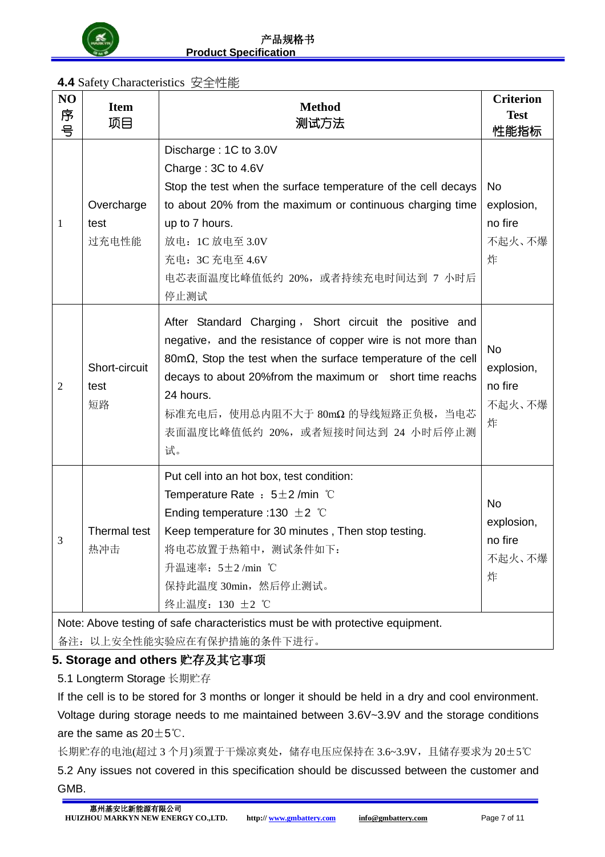

## **4.4** Safety Characteristics 安全性能

| NO<br>序<br>号   | <b>Item</b><br>项目                                                              | <b>Method</b><br>测试方法                                                                                                                                                                                                                                                                                                                                              | <b>Criterion</b><br><b>Test</b><br>性能指标           |  |  |
|----------------|--------------------------------------------------------------------------------|--------------------------------------------------------------------------------------------------------------------------------------------------------------------------------------------------------------------------------------------------------------------------------------------------------------------------------------------------------------------|---------------------------------------------------|--|--|
| 1              | Overcharge<br>test<br>过充电性能                                                    | Discharge: 1C to 3.0V<br>Charge: 3C to 4.6V<br>Stop the test when the surface temperature of the cell decays<br>to about 20% from the maximum or continuous charging time<br>up to 7 hours.<br>放电: 1C 放电至 3.0V<br>充电: 3C 充电至 4.6V<br>电芯表面温度比峰值低约 20%,或者持续充电时间达到 7 小时后<br>停止测试                                                                                      | No<br>explosion,<br>no fire<br>不起火、不爆<br>炸        |  |  |
| $\mathfrak{2}$ | Short-circuit<br>test<br>短路                                                    | After Standard Charging, Short circuit the positive and<br>negative, and the resistance of copper wire is not more than<br>$80 \text{m}\Omega$ , Stop the test when the surface temperature of the cell<br>decays to about 20% from the maximum or short time reachs<br>24 hours.<br>标准充电后, 使用总内阻不大于 80mΩ 的导线短路正负极, 当电芯<br>表面温度比峰值低约 20%, 或者短接时间达到 24 小时后停止测<br>试。 | <b>No</b><br>explosion,<br>no fire<br>不起火、不爆<br>炸 |  |  |
| 3              | Thermal test<br>热冲击                                                            | Put cell into an hot box, test condition:<br>Temperature Rate : $5\pm2$ /min $°C$<br>Ending temperature :130 $\pm$ 2 °C<br>Keep temperature for 30 minutes, Then stop testing.<br>将电芯放置于热箱中, 测试条件如下:<br>升温速率: 5±2/min ℃<br>保持此温度 30min, 然后停止测试。<br>终止温度: 130 ±2 ℃                                                                                                  | <b>No</b><br>explosion,<br>no fire<br>不起火、不爆<br>炸 |  |  |
|                | Note: Above testing of safe characteristics must be with protective equipment. |                                                                                                                                                                                                                                                                                                                                                                    |                                                   |  |  |

备注:以上安全性能实验应在有保护措施的条件下进行。

## **5. Storage and others 贮存及其它事项**

5.1 Longterm Storage 长期贮存

If the cell is to be stored for 3 months or longer it should be held in a dry and cool environment. Voltage during storage needs to me maintained between 3.6V~3.9V and the storage conditions are the same as  $20\pm5^{\circ}$ C.

长期贮存的电池(超过 3 个月)须置于干燥凉爽处,储存电压应保持在 3.6~3.9V,且储存要求为 20±5℃ 5.2 Any issues not covered in this specification should be discussed between the customer and GMB.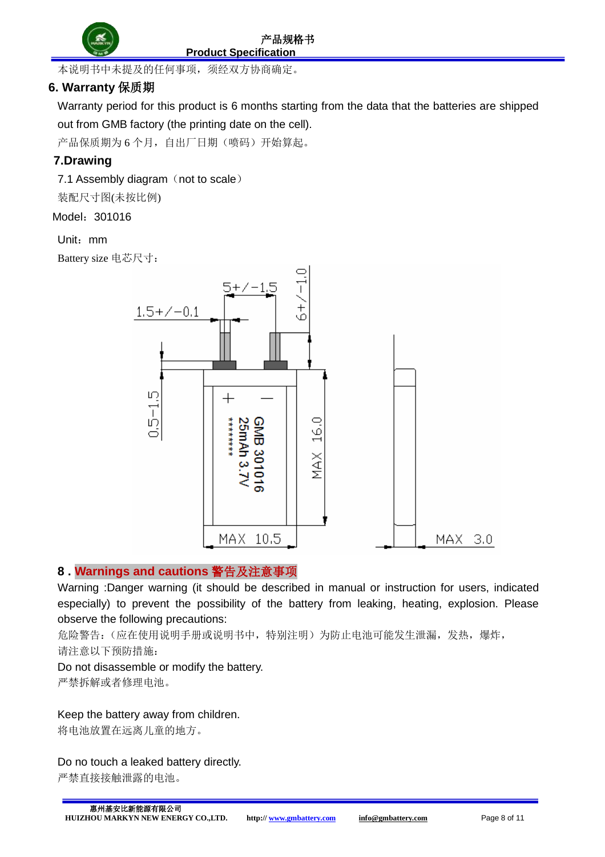

**Product Specification** 

本说明书中未提及的任何事项,须经双方协商确定。

## **6. Warranty 保质期**

Warranty period for this product is 6 months starting from the data that the batteries are shipped out from GMB factory (the printing date on the cell).

产品保质期为 6 个月, 自出厂日期(喷码)开始算起。

## **7.Drawing**

7.1 Assembly diagram (not to scale)

装配尺寸图(未按比例)

#### Model:301016

#### Unit:mm

Battery size 电芯尺寸:



#### **8 . Warnings and cautions 警告及注意事项**

Warning :Danger warning (it should be described in manual or instruction for users, indicated especially) to prevent the possibility of the battery from leaking, heating, explosion. Please observe the following precautions:

危险警告:(应在使用说明手册或说明书中,特别注明)为防止电池可能发生泄漏,发热,爆炸, 请注意以下预防措施:

#### Do not disassemble or modify the battery.

严禁拆解或者修理电池。

#### Keep the battery away from children.

将电池放置在远离儿童的地方。

#### Do no touch a leaked battery directly.

严禁直接接触泄露的电池。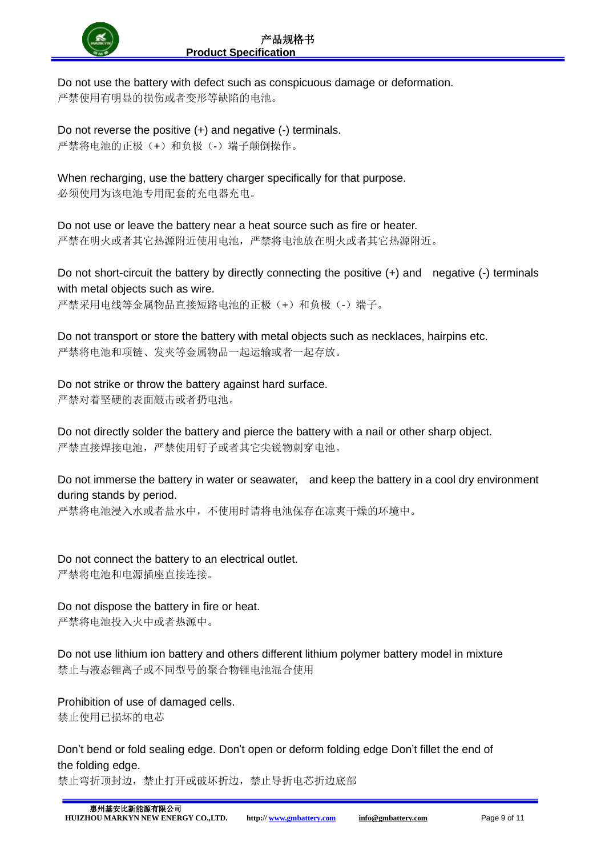

Do not use the battery with defect such as conspicuous damage or deformation. 严禁使用有明显的损伤或者变形等缺陷的电池。

Do not reverse the positive (+) and negative (-) terminals. 严禁将电池的正极(+)和负极(-)端子颠倒操作。

When recharging, use the battery charger specifically for that purpose.

必须使用为该电池专用配套的充电器充电。

Do not use or leave the battery near a heat source such as fire or heater. 严禁在明火或者其它热源附近使用电池,严禁将电池放在明火或者其它热源附近。

Do not short-circuit the battery by directly connecting the positive (+) and negative (-) terminals with metal objects such as wire.

严禁采用电线等金属物品直接短路电池的正极(+)和负极(-)端子。

Do not transport or store the battery with metal objects such as necklaces, hairpins etc. 严禁将电池和项链、发夹等金属物品一起运输或者一起存放。

Do not strike or throw the battery against hard surface. 严禁对着坚硬的表面敲击或者扔电池。

Do not directly solder the battery and pierce the battery with a nail or other sharp object. 严禁直接焊接电池,严禁使用钉子或者其它尖锐物刺穿电池。

Do not immerse the battery in water or seawater, and keep the battery in a cool dry environment during stands by period.

严禁将电池浸入水或者盐水中,不使用时请将电池保存在凉爽干燥的环境中。

Do not connect the battery to an electrical outlet. 严禁将电池和电源插座直接连接。

Do not dispose the battery in fire or heat.

严禁将电池投入火中或者热源中。

Do not use lithium ion battery and others different lithium polymer battery model in mixture 禁止与液态锂离子或不同型号的聚合物锂电池混合使用

Prohibition of use of damaged cells. 禁止使用已损坏的电芯

Don't bend or fold sealing edge. Don't open or deform folding edge Don't fillet the end of the folding edge.

禁止弯折顶封边,禁止打开或破坏折边,禁止导折电芯折边底部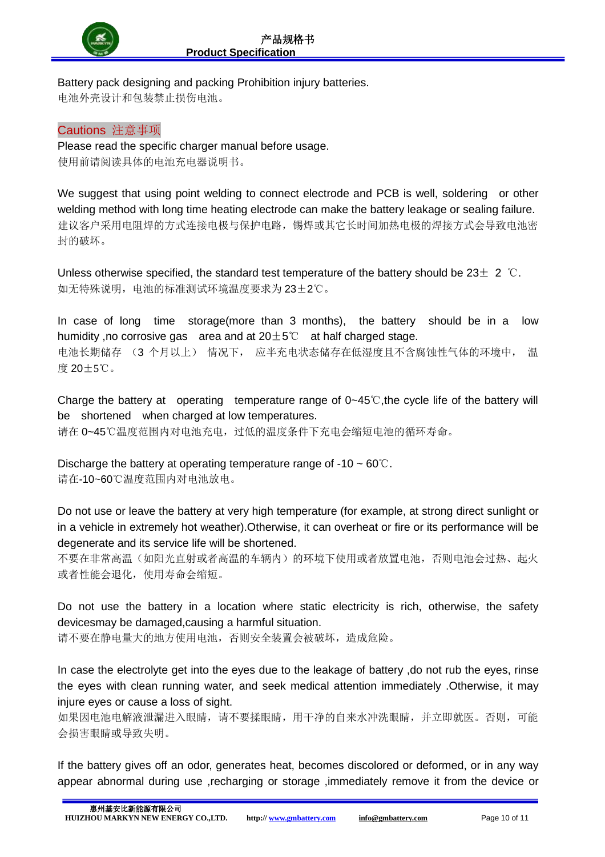

Battery pack designing and packing Prohibition injury batteries. 电池外壳设计和包装禁止损伤电池。

#### Cautions 注意事项

Please read the specific charger manual before usage. 使用前请阅读具体的电池充电器说明书。

We suggest that using point welding to connect electrode and PCB is well, soldering or other welding method with long time heating electrode can make the battery leakage or sealing failure. 建议客户采用电阻焊的方式连接电极与保护电路,锡焊或其它长时间加热电极的焊接方式会导致电池密 封的破坏。

Unless otherwise specified, the standard test temperature of the battery should be  $23\pm 2$  °C. 如无特殊说明,电池的标准测试环境温度要求为 23±2℃。

In case of long time storage(more than 3 months), the battery should be in a low humidity, no corrosive gas area and at  $20±5^{\circ}$  at half charged stage. 电池长期储存 (3 个月以上) 情况下, 应半充电状态储存在低湿度且不含腐蚀性气体的环境中, 温 度 20±5℃。

Charge the battery at operating temperature range of 0~45℃,the cycle life of the battery will be shortened when charged at low temperatures.

请在 0~45℃温度范围内对电池充电,过低的温度条件下充电会缩短电池的循环寿命。

Discharge the battery at operating temperature range of  $-10 \sim 60^{\circ}$ C. 请在-10~60℃温度范围内对电池放电。

Do not use or leave the battery at very high temperature (for example, at strong direct sunlight or in a vehicle in extremely hot weather).Otherwise, it can overheat or fire or its performance will be degenerate and its service life will be shortened.

不要在非常高温(如阳光直射或者高温的车辆内)的环境下使用或者放置电池,否则电池会过热、起火 或者性能会退化,使用寿命会缩短。

Do not use the battery in a location where static electricity is rich, otherwise, the safety devicesmay be damaged,causing a harmful situation.

请不要在静电量大的地方使用电池,否则安全装置会被破坏,造成危险。

In case the electrolyte get into the eyes due to the leakage of battery ,do not rub the eyes, rinse the eyes with clean running water, and seek medical attention immediately .Otherwise, it may injure eyes or cause a loss of sight.

如果因电池电解液泄漏进入眼睛,请不要揉眼睛,用干净的自来水冲洗眼睛,并立即就医。否则,可能 会损害眼睛或导致失明。

If the battery gives off an odor, generates heat, becomes discolored or deformed, or in any way appear abnormal during use ,recharging or storage ,immediately remove it from the device or